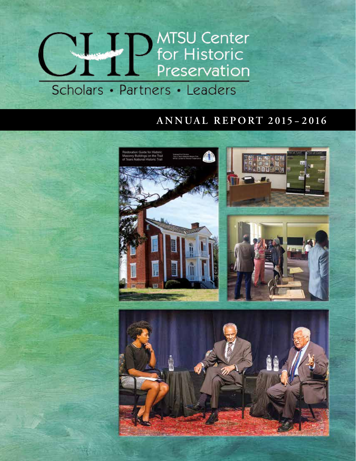# **MISSU Center**<br> **Constructed Preservation** Scholars • Partners • Leaders

#### **ANNUAL REPORT 2015 – 2016**

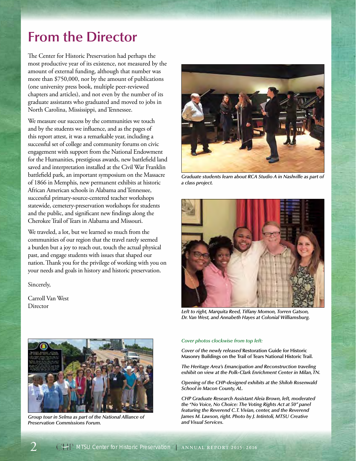#### **From the Director**

The Center for Historic Preservation had perhaps the most productive year of its existence, not measured by the amount of external funding, although that number was more than \$750,000, nor by the amount of publications (one university press book, multiple peer-reviewed chapters and articles), and not even by the number of its graduate assistants who graduated and moved to jobs in North Carolina, Mississippi, and Tennessee.

We measure our success by the communities we touch and by the students we influence, and as the pages of this report attest, it was a remarkable year, including a successful set of college and community forums on civic engagement with support from the National Endowment for the Humanities, prestigious awards, new battlefield land saved and interpretation installed at the Civil War Franklin battlefield park, an important symposium on the Massacre of 1866 in Memphis, new permanent exhibits at historic African American schools in Alabama and Tennessee, successful primary-source-centered teacher workshops statewide, cemetery-preservation workshops for students and the public, and significant new findings along the Cherokee Trail of Tears in Alabama and Missouri.

We traveled, a lot, but we learned so much from the communities of our region that the travel rarely seemed a burden but a joy to reach out, touch the actual physical past, and engage students with issues that shaped our nation. Thank you for the privilege of working with you on your needs and goals in history and historic preservation.

Sincerely,

Carroll Van West **Director** 



*Graduate students learn about RCA Studio A in Nashville as part of a class project.*



*Left to right, Marquita Reed, Tiffany Momon, Torren Gatson, Dr. Van West, and Annabeth Hayes at Colonial Williamsburg.*



*Group tour in Selma as part of the National Alliance of Preservation Commissions Forum.*

#### *Cover photos clockwise from top left:*

*Cover of the newly released* **Restoration Guide for Historic Masonry Buildings on the Trail of Tears National Historic Trail.**

*The Heritage Area's Emancipation and Reconstruction traveling exhibit on view at the Polk-Clark Enrichment Center in Milan, TN.*

*Opening of the CHP-designed exhibits at the Shiloh Rosenwald School in Macon County, AL.*

*CHP Graduate Research Assistant Aleia Brown, left, moderated the "No Voice, No Choice: The Voting Rights Act at 50" panel featuring the Reverend C.T. Vivian, center, and the Reverend James M. Lawson, right. Photo by J. Intintoli, MTSU Creative and Visual Services.*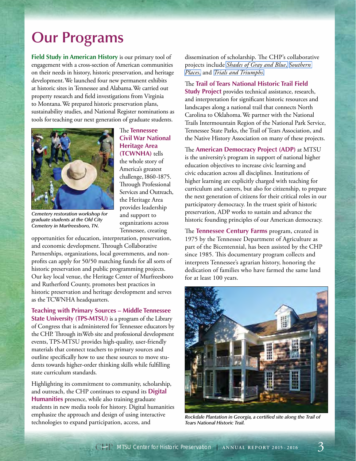#### **Our Programs**

**Field Study in American History** is our primary tool of engagement with a cross-section of American communities on their needs in history, historic preservation, and heritage development. We launched four new permanent exhibits at historic sites in Tennessee and Alabama. We carried out property research and field investigations from Virginia to Montana. We prepared historic preservation plans, sustainability studies, and National Register nominations as tools for teaching our next generation of graduate students.



The **Tennessee Civil War National Heritage Area (TCWNHA)** tells the whole story of America's greatest challenge, 1860-1875. Through Professional Services and Outreach, the Heritage Area provides leadership and support to organizations across Tennessee, creating

*Cemetery restoration workshop for graduate students at the Old City Cemetery in Murfreesboro, TN.*

opportunities for education, interpretation, preservation, and economic development. Through Collaborative Partnerships, organizations, local governments, and nonprofits can apply for 50/50 matching funds for all sorts of historic preservation and public programming projects. Our key local venue, the Heritage Center of Murfreesboro and Rutherford County, promotes best practices in historic preservation and heritage development and serves as the TCWNHA headquarters.

**Teaching with Primary Sources – Middle Tennessee State University (TPS-MTSU)** is a program of the Library of Congress that is administered for Tennessee educators by the CHP. Through its Web site and professional development events, TPS-MTSU provides high-quality, user-friendly materials that connect teachers to primary sources and outline specifically how to use these sources to move students towards higher-order thinking skills while fulfilling state curriculum standards.

Highlighting its commitment to community, scholarship, and outreach, the CHP continues to expand its **Digital Humanities** presence, while also training graduate students in new media tools for history. Digital humanities emphasize the approach and design of using interactive technologies to expand participation, access, and

dissemination of scholarship. The CHP's collaborative projects include *[Shades of Gray and Blue](http://www.civilwarshades.org/)*, *[Southern](http://digital.mtsu.edu/cdm/landingpage/collection/p15838coll4)  [Places](http://digital.mtsu.edu/cdm/landingpage/collection/p15838coll4)*, and *[Trials and Triumphs](http://digital.mtsu.edu/cdm/landingpage/collection/p15838coll7)*.

The **Trail of Tears National Historic Trail Field Study Project** provides technical assistance, research, and interpretation for significant historic resources and landscapes along a national trail that connects North Carolina to Oklahoma. We partner with the National Trails Intermountain Region of the National Park Service, Tennessee State Parks, the Trail of Tears Association, and the Native History Association on many of these projects.

The **American Democracy Project (ADP)** at MTSU is the university's program in support of national higher education objectives to increase civic learning and civic education across all disciplines. Institutions of higher learning are explicitly charged with teaching for curriculum and careers, but also for citizenship, to prepare the next generation of citizens for their critical roles in our participatory democracy. In the truest spirit of historic preservation, ADP works to sustain and advance the historic founding principles of our American democracy.

The **Tennessee Century Farms** program, created in 1975 by the Tennessee Department of Agriculture as part of the Bicentennial, has been assisted by the CHP since 1985. This documentary program collects and interprets Tennessee's agrarian history, honoring the dedication of families who have farmed the same land for at least 100 years.



*Rockdale Plantation in Georgia, a certified site along the Trail of Tears National Historic Trail.*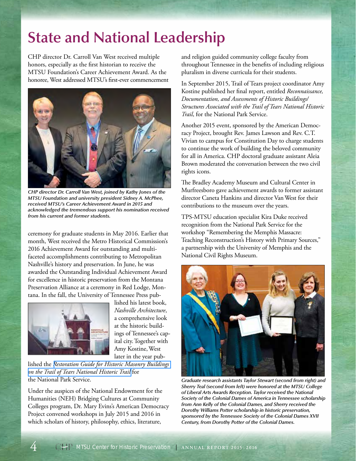## **State and National Leadership**

CHP director Dr. Carroll Van West received multiple honors, especially as the first historian to receive the MTSU Foundation's Career Achievement Award. As the honoree, West addressed MTSU's first-ever commencement



*CHP director Dr. Carroll Van West, joined by Kathy Jones of the MTSU Foundation and university president Sidney A. McPhee, received MTSU's Career Achievement Award in 2015 and acknowledged the tremendous support his nomination received from his current and former students.*

ceremony for graduate students in May 2016. Earlier that month, West received the Metro Historical Commission's 2016 Achievement Award for outstanding and multifaceted accomplishments contributing to Metropolitan Nashville's history and preservation. In June, he was awarded the Outstanding Individual Achievement Award for excellence in historic preservation from the Montana Preservation Alliance at a ceremony in Red Lodge, Montana. In the fall, the University of Tennessee Press pub-



lished his latest book, *Nashville Architecture*, a comprehensive look at the historic buildings of Tennessee's capital city. Together with Amy Kostine, West later in the year pub-

lished the *[Restoration Guide for Historic Masonry Buildings](http://www.mtsuhistpres.org/wp-content/uploads/2016/02/Restoration-Guide-for-HIstoric-Masonry-Buildings-on-the-TRTE-NHT-FINAL-PDF.pdf)  [on the Trail of Tears National Historic Trail](http://www.mtsuhistpres.org/wp-content/uploads/2016/02/Restoration-Guide-for-HIstoric-Masonry-Buildings-on-the-TRTE-NHT-FINAL-PDF.pdf)* for the National Park Service.

Under the auspices of the National Endowment for the Humanities (NEH) Bridging Cultures at Community Colleges program, Dr. Mary Evins's American Democracy Project convened workshops in July 2015 and 2016 in which scholars of history, philosophy, ethics, literature,

and religion guided community college faculty from throughout Tennessee in the benefits of including religious pluralism in diverse curricula for their students.

In September 2015, Trail of Tears project coordinator Amy Kostine published her final report, entitled *Reconnaissance, Documentation, and Assessments of Historic Buildings/ Structures Associated with the Trail of Tears National Historic Trail*, for the National Park Service.

Another 2015 event, sponsored by the American Democracy Project, brought Rev. James Lawson and Rev. C.T. Vivian to campus for Constitution Day to charge students to continue the work of building the beloved community for all in America. CHP doctoral graduate assistant Aleia Brown moderated the conversation between the two civil rights icons.

The Bradley Academy Museum and Cultural Center in Murfreesboro gave achievement awards to former assistant director Caneta Hankins and director Van West for their contributions to the museum over the years.

TPS-MTSU education specialist Kira Duke received recognition from the National Park Service for the workshop "Remembering the Memphis Massacre: Teaching Reconstruction's History with Primary Sources," a partnership with the University of Memphis and the National Civil Rights Museum.



*Graduate research assistants Taylor Stewart (second from right) and Sherry Teal (second from left) were honored at the MTSU College of Liberal Arts Awards Reception. Taylor received the National Society of the Colonial Dames of America in Tennessee scholarship from Ann Kelly of the Colonial Dames, and Sherry received the Dorothy Williams Potter scholarship in historic preservation, sponsored by the Tennessee Society of the Colonial Dames XVII Century, from Dorothy Potter of the Colonial Dames.*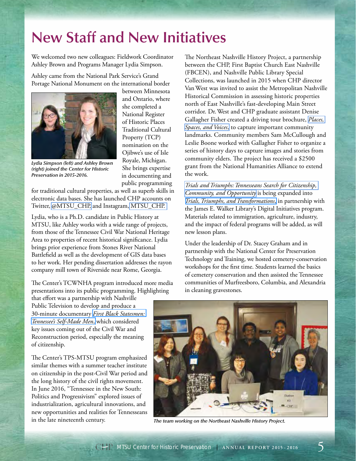#### **New Staff and New Initiatives**

We welcomed two new colleagues: Fieldwork Coordinator Ashley Brown and Programs Manager Lydia Simpson.

Ashley came from the National Park Service's Grand Portage National Monument on the international border



*(right) joined the Center for Historic* 

*Preservation in 2015-2016.*

between Minnesota and Ontario, where she completed a National Register of Historic Places Traditional Cultural Property (TCP) nomination on the Ojibwe's use of Isle Royale, Michigan. She brings expertise in documenting and public programming

for traditional cultural properties, as well as superb skills in electronic data bases. She has launched CHP accounts on Twitter, [@MTSU\\_CHP,](https://twitter.com/mtsu_chp) and Instagram, [MTSU\\_CHP.](https://www.instagram.com/mtsu_chp/) 

Lydia, who is a Ph.D. candidate in Public History at MTSU, like Ashley works with a wide range of projects, from those of the Tennessee Civil War National Heritage Area to properties of recent historical significance. Lydia brings prior experience from Stones River National Battlefield as well as the development of GIS data bases to her work. Her pending dissertation addresses the rayon company mill town of Riverside near Rome, Georgia.

The Center's TCWNHA program introduced more media presentations into its public programming. Highlighting

The Northeast Nashville History Project, a partnership between the CHP, First Baptist Church East Nashville (FBCEN), and Nashville Public Library Special Collections, was launched in 2015 when CHP director Van West was invited to assist the Metropolitan Nashville Historical Commission in assessing historic properties north of East Nashville's fast-developing Main Street corridor. Dr. West and CHP graduate assistant Denise Gallagher Fisher created a driving tour brochure, *[Places,](https://www.facebook.com/1683552345220160/photos/?tab=album&album_id=1740578656184195)  [Spaces, and Voices](https://www.facebook.com/1683552345220160/photos/?tab=album&album_id=1740578656184195)*, to capture important community landmarks. Community members Sam McCullough and Leslie Boone worked with Gallagher Fisher to organize a series of history days to capture images and stories from community elders. The project has received a \$2500 grant from the National Humanities Alliance to extend the work.

*[Trials and Triumphs: Tennesseans Search for Citizenship,](http://digital.mtsu.edu/cdm/landingpage/collection/p15838coll7)  [Community, and Opportunity](http://digital.mtsu.edu/cdm/landingpage/collection/p15838coll7)* is being expanded into *[Trials, Triumphs, and Transformations](http://dsi.mtsu.edu/collections)*, in partnership with the James E. Walker Library's Digital Initiatives program. Materials related to immigration, agriculture, industry, and the impact of federal programs will be added, as will new lesson plans.

Under the leadership of Dr. Stacey Graham and in partnership with the National Center for Preservation Technology and Training, we hosted cemetery-conservation workshops for the first time. Students learned the basics of cemetery conservation and then assisted the Tennessee communities of Murfreesboro, Columbia, and Alexandria in cleaning gravestones.

that effort was a partnership with Nashville Public Television to develop and produce a 30-minute documentary *[First Black Statesmen:](http://video.wnpt.org/video/2365665470/)  [Tennessee's Self-Made Men](http://video.wnpt.org/video/2365665470/)*, which considered key issues coming out of the Civil War and Reconstruction period, especially the meaning of citizenship.

The Center's TPS-MTSU program emphasized similar themes with a summer teacher institute on citizenship in the post-Civil War period and the long history of the civil rights movement. In June 2016, "Tennessee in the New South: Politics and Progressivism" explored issues of industrialization, agricultural innovations, and new opportunities and realities for Tennesseans in the late nineteenth century.



*The team working on the Northeast Nashville History Project.*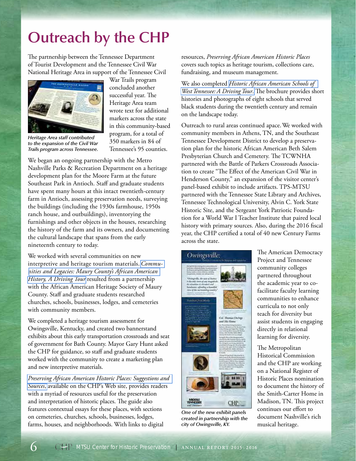# **Outreach by the CHP**

The partnership between the Tennessee Department of Tourist Development and the Tennessee Civil War National Heritage Area in support of the Tennessee Civil



*Heritage Area staff contributed to the expansion of the Civil War Trails program across Tennessee.*

War Trails program concluded another successful year. The Heritage Area team wrote text for additional markers across the state in this community-based program, for a total of 350 markers in 84 of Tennessee's 95 counties.

We began an ongoing partnership with the Metro Nashville Parks & Recreation Department on a heritage development plan for the Moore Farm at the future Southeast Park in Antioch. Staff and graduate students have spent many hours at this intact twentieth-century farm in Antioch, assessing preservation needs, surveying the buildings (including the 1930s farmhouse, 1950s ranch house, and outbuildings), inventorying the furnishings and other objects in the houses, researching the history of the farm and its owners, and documenting the cultural landscape that spans from the early nineteenth century to today.

We worked with several communities on new interpretive and heritage tourism materials. *[Commu](http://www.mtsuhistpres.org/wp-content/uploads/2016/02/Maury-County-African-American-tour-final.pdf)[nities and Legacies: Maury County's African American](http://www.mtsuhistpres.org/wp-content/uploads/2016/02/Maury-County-African-American-tour-final.pdf)  [History, A Driving Tour](http://www.mtsuhistpres.org/wp-content/uploads/2016/02/Maury-County-African-American-tour-final.pdf)* resulted from a partnership with the African American Heritage Society of Maury County. Staff and graduate students researched churches, schools, businesses, lodges, and cemeteries with community members.

We completed a heritage tourism assessment for Owingsville, Kentucky, and created two bannerstand exhibits about this early transportation crossroads and seat of government for Bath County. Mayor Gary Hunt asked the CHP for guidance, so staff and graduate students worked with the community to create a marketing plan and new interpretive materials.

*[Preserving African American Historic Places: Suggestions and](http://www.mtsuhistpres.org/wp-content/uploads/2016/02/Preserving-African-American-Historic-Places.pdf)  [Sources](http://www.mtsuhistpres.org/wp-content/uploads/2016/02/Preserving-African-American-Historic-Places.pdf)*, available on the CHP's Web site, provides readers with a myriad of resources useful for the preservation and interpretation of historic places. The guide also features contextual essays for these places, with sections on cemeteries, churches, schools, businesses, lodges, farms, houses, and neighborhoods. With links to digital

resources, *Preserving African American Historic Places* covers such topics as heritage tourism, collections care, fundraising, and museum management.

We also completed *[Historic African American Schools of](http://www.mtsuhistpres.org/wp-content/uploads/2015/12/WestTNAfricianAmerSchools-Final.pdf)  [West Tennessee: A Driving Tour](http://www.mtsuhistpres.org/wp-content/uploads/2015/12/WestTNAfricianAmerSchools-Final.pdf)*. The brochure provides short histories and photographs of eight schools that served black students during the twentieth century and remain on the landscape today.

Outreach to rural areas continued apace. We worked with community members in Athens, TN, and the Southeast Tennessee Development District to develop a preservation plan for the historic African American Beth Salem Presbyterian Church and Cemetery. The TCWNHA partnered with the Battle of Parkers Crossroads Association to create "The Effect of the American Civil War in Henderson County," an expansion of the visitor center's panel-based exhibit to include artifacts. TPS-MTSU partnered with the Tennessee State Library and Archives, Tennessee Technological University, Alvin C. York State Historic Site, and the Sergeant York Patriotic Foundation for a World War I Teacher Institute that paired local history with primary sources. Also, during the 2016 fiscal year, the CHP certified a total of 40 new Century Farms across the state.



*One of the new exhibit panels created in partnership with the city of Owingsville, KY.*

The American Democracy Project and Tennessee community colleges partnered throughout the academic year to cofacilitate faculty learning communities to enhance curricula to not only teach for diversity but assist students in engaging directly in relational learning for diversity.

The Metropolitan Historical Commission and the CHP are working on a National Register of Historic Places nomination to document the history of the Smith-Carter Home in Madison, TN. This project continues our effort to document Nashville's rich musical heritage.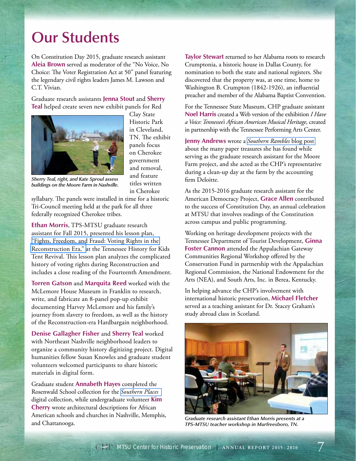#### **Our Students**

On Constitution Day 2015, graduate research assistant **Aleia Brown** served as moderator of the "No Voice, No Choice: The Voter Registration Act at 50" panel featuring the legendary civil rights leaders James M. Lawson and C.T. Vivian.

Graduate research assistants **Jenna Stout** and **Sherry Teal** helped create seven new exhibit panels for Red



Clay State Historic Park in Cleveland, TN. The exhibit panels focus on Cherokee government and removal, and feature titles written in Cherokee

*Sherry Teal, right, and Kate Sproul assess buildings on the Moore Farm in Nashville.*

syllabary. The panels were installed in time for a historic Tri-Council meeting held at the park for all three federally recognized Cherokee tribes.

**Ethan Morris**, TPS-MTSU graduate research assistant for Fall 2015, presented his lesson plan, ["Fights, Freedom, and Fraud: Voting Rights in the](http://library.mtsu.edu/tps/lessonplans&ideas/Lesson_Plan--Voting_Rights_in_the_Reconstruction_Era.pdf)  [Reconstruction Era," a](http://library.mtsu.edu/tps/lessonplans&ideas/Lesson_Plan--Voting_Rights_in_the_Reconstruction_Era.pdf)t the Tennessee History for Kids Tent Revival. This lesson plan analyzes the complicated history of voting rights during Reconstruction and includes a close reading of the Fourteenth Amendment.

**Torren Gatson** and **Marquita Reed** worked with the McLemore House Museum in Franklin to research, write, and fabricate an 8-panel pop-up exhibit documenting Harvey McLemore and his family's journey from slavery to freedom, as well as the history of the Reconstruction-era Hardbargain neighborhood.

**Denise Gallagher Fisher** and **Sherry Teal** worked with Northeast Nashville neighborhood leaders to organize a community history digitizing project. Digital humanities fellow Susan Knowles and graduate student volunteers welcomed participants to share historic materials in digital form.

Graduate student **Annabeth Hayes** completed the Rosenwald School collection for the *[Southern Places](http://digital.mtsu.edu/cdm/landingpage/collection/p15838coll4)* digital collection, while undergraduate volunteer **Kim Cherry** wrote architectural descriptions for African American schools and churches in Nashville, Memphis, and Chattanooga.

**Taylor Stewart** returned to her Alabama roots to research Crumptonia, a historic house in Dallas County, for nomination to both the state and national registers. She discovered that the property was, at one time, home to Washington B. Crumpton (1842-1926), an influential preacher and member of the Alabama Baptist Convention.

For the Tennessee State Museum, CHP graduate assistant **Noel Harris** created a Web version of the exhibition *I Have a Voice: Tennessee's African American Musical Heritage*, created in partnership with the Tennessee Performing Arts Center.

**Jenny Andrews** wrote a *[Southern Rambles](https://chpblog.org/2016/06/16/the-paper-trail-at-the-moore-farm-in-nashville/)* blog post about the many paper treasures she has found while serving as the graduate research assistant for the Moore Farm project, and she acted as the CHP's representative during a clean-up day at the farm by the accounting firm Deloitte.

As the 2015-2016 graduate research assistant for the American Democracy Project, **Grace Allen** contributed to the success of Constitution Day, an annual celebration at MTSU that involves readings of the Constitution across campus and public programming.

Working on heritage development projects with the Tennessee Department of Tourist Development, **Ginna Foster Cannon** attended the Appalachian Gateway Communities Regional Workshop offered by the Conservation Fund in partnership with the Appalachian Regional Commission, the National Endowment for the Arts (NEA), and South Arts, Inc. in Berea, Kentucky.

In helping advance the CHP's involvement with international historic preservation, **Michael Fletcher** served as a teaching assistant for Dr. Stacey Graham's study abroad class in Scotland.



*Graduate research assistant Ethan Morris presents at a TPS-MTSU teacher workshop in Murfreesboro, TN.*